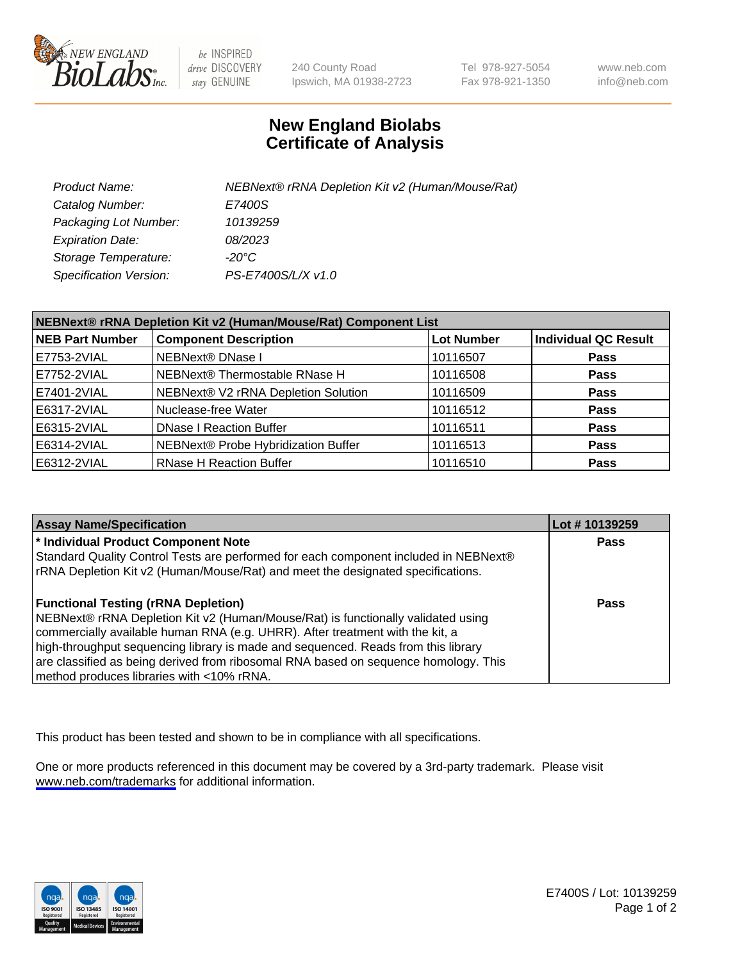

be INSPIRED drive DISCOVERY stay GENUINE

240 County Road Ipswich, MA 01938-2723 Tel 978-927-5054 Fax 978-921-1350

www.neb.com info@neb.com

## **New England Biolabs Certificate of Analysis**

| Product Name:           | NEBNext® rRNA Depletion Kit v2 (Human/Mouse/Rat) |
|-------------------------|--------------------------------------------------|
| Catalog Number:         | E7400S                                           |
| Packaging Lot Number:   | 10139259                                         |
| <b>Expiration Date:</b> | 08/2023                                          |
| Storage Temperature:    | -20°C                                            |
| Specification Version:  | PS-E7400S/L/X v1.0                               |

| NEBNext® rRNA Depletion Kit v2 (Human/Mouse/Rat) Component List |                                     |                   |                             |  |
|-----------------------------------------------------------------|-------------------------------------|-------------------|-----------------------------|--|
| <b>NEB Part Number</b>                                          | <b>Component Description</b>        | <b>Lot Number</b> | <b>Individual QC Result</b> |  |
| E7753-2VIAL                                                     | NEBNext® DNase I                    | 10116507          | <b>Pass</b>                 |  |
| E7752-2VIAL                                                     | NEBNext® Thermostable RNase H       | 10116508          | <b>Pass</b>                 |  |
| E7401-2VIAL                                                     | NEBNext® V2 rRNA Depletion Solution | 10116509          | <b>Pass</b>                 |  |
| E6317-2VIAL                                                     | Nuclease-free Water                 | 10116512          | <b>Pass</b>                 |  |
| E6315-2VIAL                                                     | <b>DNase I Reaction Buffer</b>      | 10116511          | <b>Pass</b>                 |  |
| E6314-2VIAL                                                     | NEBNext® Probe Hybridization Buffer | 10116513          | <b>Pass</b>                 |  |
| E6312-2VIAL                                                     | <b>RNase H Reaction Buffer</b>      | 10116510          | <b>Pass</b>                 |  |

| <b>Assay Name/Specification</b>                                                      | Lot # 10139259 |
|--------------------------------------------------------------------------------------|----------------|
| * Individual Product Component Note                                                  | <b>Pass</b>    |
| Standard Quality Control Tests are performed for each component included in NEBNext® |                |
| rRNA Depletion Kit v2 (Human/Mouse/Rat) and meet the designated specifications.      |                |
| <b>Functional Testing (rRNA Depletion)</b>                                           | Pass           |
| NEBNext® rRNA Depletion Kit v2 (Human/Mouse/Rat) is functionally validated using     |                |
| commercially available human RNA (e.g. UHRR). After treatment with the kit, a        |                |
| high-throughput sequencing library is made and sequenced. Reads from this library    |                |
| are classified as being derived from ribosomal RNA based on sequence homology. This  |                |
| method produces libraries with <10% rRNA.                                            |                |

This product has been tested and shown to be in compliance with all specifications.

One or more products referenced in this document may be covered by a 3rd-party trademark. Please visit <www.neb.com/trademarks>for additional information.